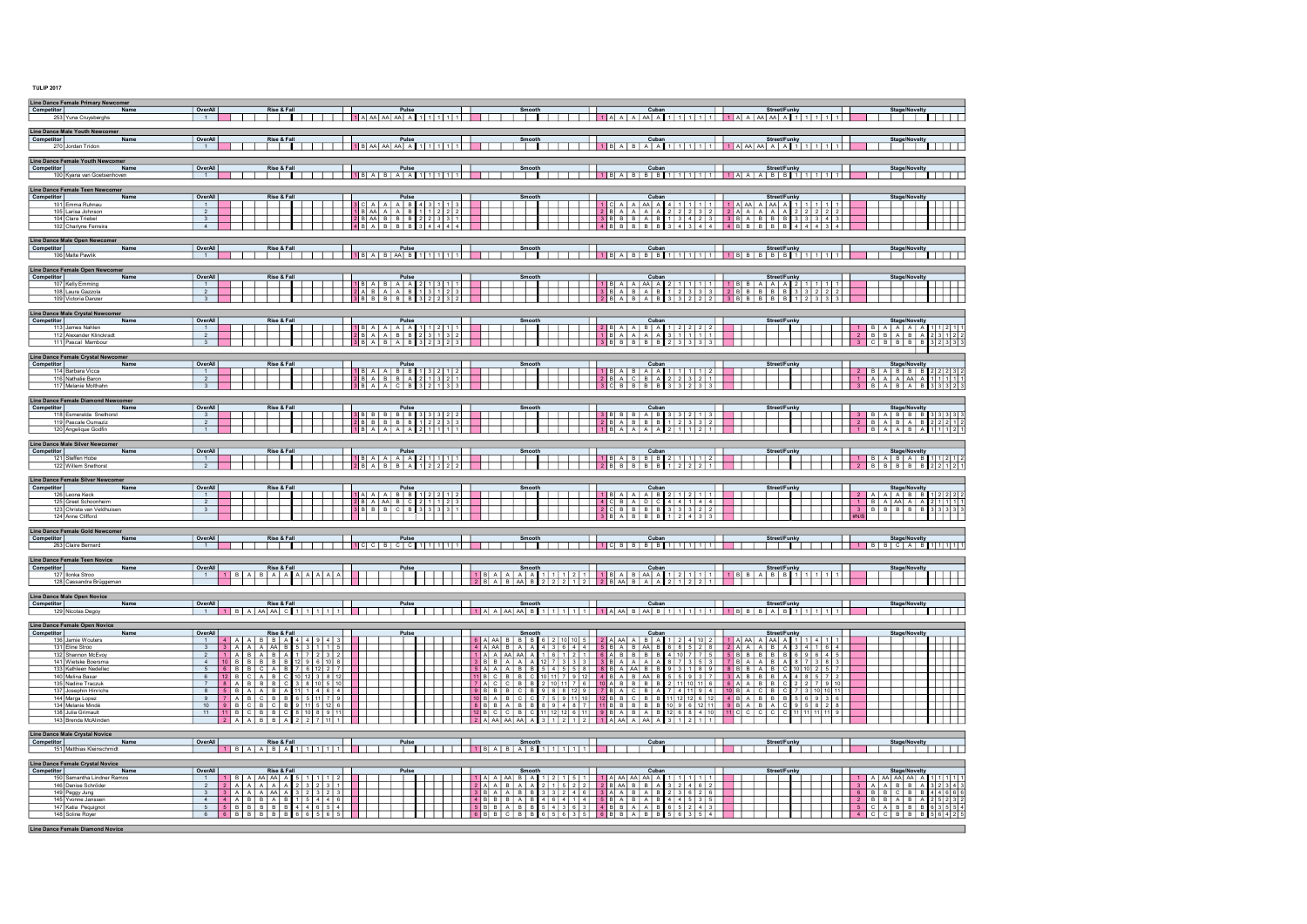TULIP 2017

| Line Dance Female Primary Newcomer<br>Competitor<br>Name                                                                                                                                                                                                                                                                   | OverAll<br>Rise & Fall<br>Street/Funky<br>Cubar                                                                                                                                                                                                                                                                                                                                                                                                                                                                                                                                                                                                                                                                                                                                                                                                                                                                                                                                                                                                                                                                                                                                                                                                                                                                                                                            |
|----------------------------------------------------------------------------------------------------------------------------------------------------------------------------------------------------------------------------------------------------------------------------------------------------------------------------|----------------------------------------------------------------------------------------------------------------------------------------------------------------------------------------------------------------------------------------------------------------------------------------------------------------------------------------------------------------------------------------------------------------------------------------------------------------------------------------------------------------------------------------------------------------------------------------------------------------------------------------------------------------------------------------------------------------------------------------------------------------------------------------------------------------------------------------------------------------------------------------------------------------------------------------------------------------------------------------------------------------------------------------------------------------------------------------------------------------------------------------------------------------------------------------------------------------------------------------------------------------------------------------------------------------------------------------------------------------------------|
| 253 Yuna Cruysberghs                                                                                                                                                                                                                                                                                                       | Stage/Novelty<br>$\overline{1}$                                                                                                                                                                                                                                                                                                                                                                                                                                                                                                                                                                                                                                                                                                                                                                                                                                                                                                                                                                                                                                                                                                                                                                                                                                                                                                                                            |
| Line Dance Male Youth Newcomer<br>Competitor<br>Name<br>270 Jordan Tridon                                                                                                                                                                                                                                                  | OverAll<br>Rise & Fall<br>Pulse<br>Smooth<br>Cuban<br>Street/Funky<br>Stage/Novelty<br>1 B AA AA AA A 1 1 1 1 1 1<br><b>TTTTT</b><br>1                                                                                                                                                                                                                                                                                                                                                                                                                                                                                                                                                                                                                                                                                                                                                                                                                                                                                                                                                                                                                                                                                                                                                                                                                                     |
| Line Dance Female Youth Newcomer<br>Competitor<br>Name<br>100 Kyana van Goetsenhoven                                                                                                                                                                                                                                       | OverAll<br>Rise & Fall<br>Pulse<br>Cuban<br><b>Street/Funky</b><br>Smooth<br>$18A B A B A A 1111111$                                                                                                                                                                                                                                                                                                                                                                                                                                                                                                                                                                                                                                                                                                                                                                                                                                                                                                                                                                                                                                                                                                                                                                                                                                                                       |
| Line Dance Female Teen Newcomer<br><b>Competitor</b><br>Name<br>101 Emma Ruhnau<br>105 Larisa Johnson<br>104 Clara Triebel                                                                                                                                                                                                 | OverAll<br>Rise & Fall<br><b>Pulse</b><br>3 C A A A B 4 3 1 1 3<br>1 B AA A A B 1 1 2 2 2<br>2 B AA B B B 2 2 2 3 3 1<br><b>Smooth</b><br>Stage/Novelty<br>$-1$<br>$\overline{2}$<br>$\overline{\phantom{a}3}$                                                                                                                                                                                                                                                                                                                                                                                                                                                                                                                                                                                                                                                                                                                                                                                                                                                                                                                                                                                                                                                                                                                                                             |
| 102 Charlyne Ferreira<br>Line Dance Male Open Newcomer                                                                                                                                                                                                                                                                     | 4<br> 4 B A B B B<br>3   4   4   4   4  <br>14 B B B B B B<br>3   4   3   4   4   4   B   B   B   B   B<br>4 4 4 4 3 4                                                                                                                                                                                                                                                                                                                                                                                                                                                                                                                                                                                                                                                                                                                                                                                                                                                                                                                                                                                                                                                                                                                                                                                                                                                     |
| <b>Competitor</b><br>Name<br>106 Malte Pawlik                                                                                                                                                                                                                                                                              | OverAll<br>Rise & Fall<br>Pulse<br>Cuban<br>Smooth<br>Street/Funky<br>$1$ B A B A B 1 1 1 1 1 1<br>1                                                                                                                                                                                                                                                                                                                                                                                                                                                                                                                                                                                                                                                                                                                                                                                                                                                                                                                                                                                                                                                                                                                                                                                                                                                                       |
| Line Dance Female Open Newcomer<br>Competitor<br>Name<br>107 Kelly Emming<br>108 Laura Gazzola<br>109 Victoria Danzer                                                                                                                                                                                                      | OverAll<br>Rise & Fall<br>Pulse<br>Smooth<br><b>Stage/Novelty</b><br>1 B A B A A 2 1 3 1 1<br>2 A B A A B 1 3 1 2 3<br>$\overline{1}$<br>$\overline{2}$<br>3 B B B B B 3 2 2 3 2<br>$3$ $3$ $2$ $2$ $2$ $3$ $8$ $8$ $8$ $8$ $8$ $8$ $8$ $8$<br>$\overline{\mathbf{3}}$<br>$2$ BABABAB                                                                                                                                                                                                                                                                                                                                                                                                                                                                                                                                                                                                                                                                                                                                                                                                                                                                                                                                                                                                                                                                                      |
| Line Dance Male Crystal Newcomer<br><b>Competitor</b><br>Name<br>113 James Nahlen<br>112 Alexander Klinckradt<br>111 Pascal Mambour                                                                                                                                                                                        | OverAll<br>Rise & Fall<br>Pulse<br>1 B A A A A A 1 1 2 1 1<br>2 B A A B B 2 3 1 3 2<br>Smooth<br>Cuban<br>Street/Funky<br>Stage/Novelty<br>1   B   A   A   A   A<br>2 B A A B A 1 2 2 2 2<br>1 B A A A A A 3 1 1 1 1<br>$1$ 1 2 1<br>$-1$<br>$2$ $B$ $B$ $A$ $B$ $A$<br>$\overline{2}$<br>2312<br>$ $ $ $ $ $ 3 $ $ $C$ $ $ $B$ $ $ $B$ $ $ $B$ $ $ $B$<br>$\overline{\mathbf{3}}$<br>3B A B A B<br>3   2   3   2   3  <br>$3$ BBBBBBBB<br>2 3 3 3 3 1 <br>32333                                                                                                                                                                                                                                                                                                                                                                                                                                                                                                                                                                                                                                                                                                                                                                                                                                                                                                           |
| Line Dance Female Crystal Newcomer<br><b>Competitor</b><br>Name<br>114 Barbara Vicca<br>116 Nathalie Baron<br>117 Melanie Molthahn                                                                                                                                                                                         | OverAll<br>Rise & Fall<br>Pulse<br>Cuban<br>Smooth<br><b>Street/Funky</b><br>Stage/Novelty<br>2 B A B B B 2 2 2 3 2<br>1 B A A B B 1 3 2 1 2<br>18 A B A A 1 1 1 1 2 1<br>$-1$<br>— L L<br>$2BACBA$<br>$2$ 2 3 2 1<br>2BA B B A<br>$2$ 1 3 2 1<br>$1$ $1$ $A$ $A$ $A$ $A$ $A$ $1$ $1$<br>$\overline{2}$<br>3 B A A C B 3 2 1 3 3<br><b>13 C B B B B</b><br>$3$ $3$ $2$ $3$ $3$<br>3   B   A   B   A   B   3   3   3   2                                                                                                                                                                                                                                                                                                                                                                                                                                                                                                                                                                                                                                                                                                                                                                                                                                                                                                                                                    |
| Line Dance Female Diamond Newcomer<br>Competitor<br>Name<br>118 Esmeralda Snethorst<br>119 Pascale Oumaziz<br>120 Angelique Godfin                                                                                                                                                                                         | OverAll<br>Rise & Fall<br><b>Pulse</b><br>3 8 8 8 8 8 8 3 3 3 2 2<br>Smooth<br>Street/Funky<br>Stage/Novelty<br>3 B A B B B 3 3 3 3 3<br>工<br>3 <sup>3</sup><br>$2B B B B B B$<br>$1$   2   2   3   3<br>2 B A B B B<br>12332<br>$2 \mid B \mid A \mid B \mid A \mid B$<br>$2$ $2$ $2$ $1$ $2$<br>$\overline{2}$<br>18A A A A 211111<br>$1$ $3$ $A$ $A$ $A$ $A$<br>$2 \mid 1 \mid 1 \mid 2$<br>1<br>$\overline{1}$                                                                                                                                                                                                                                                                                                                                                                                                                                                                                                                                                                                                                                                                                                                                                                                                                                                                                                                                                         |
| Line Dance Male Silver Newcomer<br>Competitor<br>Name<br>121 Steffen Hobe<br>122 Willem Snethorst                                                                                                                                                                                                                          | OverAll<br>Rise & Fall<br>Pulse<br>Cuban<br>18 A B B B 2 1 1 1 2<br>Smooth<br>Street/Funky<br><b>Stage/Novelty</b><br>18 A A A A 2 1 1 1 1<br>$1$   $B$   $A$   $B$   $A$   $B$   $1$   $1$   $2$   $1$<br>$\overline{1}$<br>2 B B B B B 2 2 1 2 1<br>2 B A B B A 1 2 2 2 2<br>288888812221<br>$\overline{2}$                                                                                                                                                                                                                                                                                                                                                                                                                                                                                                                                                                                                                                                                                                                                                                                                                                                                                                                                                                                                                                                              |
| Line Dance Female Silver Newcomer<br>Competitor<br>Name<br>126 Leona Keck<br>125 Greet Schoonheim<br>123 Christa van Veldhuisen<br>124 Anne Clifford                                                                                                                                                                       | OverAll<br>Rise & Fall<br>Pulse<br>Cuban<br>Street/Funky<br>Smooth<br>Stage/Novelty<br>1 A A A B B 1 2 2 1 2<br>1 B A A A B 2 1 2 1 1<br>2 A A A B B 1 2 2 2<br>1 B A A A A A 2 1 1 1<br>$\frac{1}{2}$<br>a da b<br>2BAAABC<br>$4$ CBADC<br>$4$ 4 1 4 4<br>$\overline{2}$<br>2   1   1   2   3<br>$2$ CBBBB<br>3B B B C B<br>33331<br>$3 \mid 3 \mid 3 \mid 2$<br>2<br>$\overline{\mathbf{3}}$                                                                                                                                                                                                                                                                                                                                                                                                                                                                                                                                                                                                                                                                                                                                                                                                                                                                                                                                                                             |
| Line Dance Female Gold Newcomer<br>Competitor<br>Name<br>263 Claire Bernard                                                                                                                                                                                                                                                | OverAll<br>Rise & Fall<br>Pulse<br>Smooth<br>Cuban<br>Street/Funky<br><b>Stage/Novelty</b><br>$1001800111111111$<br>┱╤┲<br><u>  1   CIBIBIBI 1  1  1  1        </u><br>$1$   B   B   C   A   B   1   1   1   1   1<br>$-1$                                                                                                                                                                                                                                                                                                                                                                                                                                                                                                                                                                                                                                                                                                                                                                                                                                                                                                                                                                                                                                                                                                                                                 |
| Line Dance Female Teen Novice<br>Competitor<br>Name<br>127 Ilonka Stroo<br>128 Cassandra Brüggeman                                                                                                                                                                                                                         | OverAll<br>Rise & Fall<br>Street/Funky<br>Pulse<br>Stage/Novelty<br>$1 \mid B \mid A \mid B \mid A \mid A \mid A \mid A \mid A \mid A$<br>$\overline{1}$<br>$2 8 A B AA B 2 2 2 1 2 1 2 B AA B A A $<br> 2 1 2 2 1                                                                                                                                                                                                                                                                                                                                                                                                                                                                                                                                                                                                                                                                                                                                                                                                                                                                                                                                                                                                                                                                                                                                                         |
| Line Dance Male Open Novice<br><b>Competitor</b><br>Name<br>129 Nicolas Degoy                                                                                                                                                                                                                                              | OverAll<br>Rise & Fall<br>Pulse<br>Cuban<br>Street/Funky<br>Smooth<br>Stage/Novelty<br>TH 111<br>1 B A AA AA C 1 1 1 1 1<br>$1 \quad$                                                                                                                                                                                                                                                                                                                                                                                                                                                                                                                                                                                                                                                                                                                                                                                                                                                                                                                                                                                                                                                                                                                                                                                                                                      |
| Line Dance Female Open Novice<br>Competitor<br>Name<br>136 Jamie Wouters<br>131 Eline Stroo<br>132 Shannon McEvoy<br>141 Wietske Boersma<br>133 Kathleen Nedelleo<br>140 Melina Basar<br>135 Nadine Traczuk<br>137 Josephin Hinrichs<br>144 Marga Lopez<br>134 Melanie Mindé<br>138 Julia Grimault<br>143 Brenda McAlinder | OverAll<br>Rise & Fall<br>Pulse<br>Smooth<br>Cuban<br>Street/Funky<br>Stage/Novelty<br>4 A A B B A 4 4 9 4 3<br>6 A A A B B B B 6 2 10 10 5 2 A A A A B A 1 2 4 10 2 1 A A A A A A 1 1 4 1<br>$-1$<br>3 <sup>2</sup><br>3 A A A A B 5 3 1 1 5<br>4 A AA B A A 4 3 6 4 4 5 B A B AA B<br>1 A A AA AA A 1 6 1 2 1 6 A B B B B<br>$6 8 5 2 8$ 2 A A A B A<br>$3 \t4 \t1 \t6 \t4$<br>117232<br>$4107755$ 588888<br>$\overline{2}$<br>$1$ a Ra $A$<br>6   9   6   4   5<br>10 B B B B B 12 9 6 10 8<br>3 B B A A A 12 7 3 3 3 3 8 A A A A<br>87383<br>4<br>$10$ $10$ $2$ $5$ $7$<br>7 6 12 2 7<br>$5$ 4 5 5 8 8 8 8 A A B B<br>$-5$<br>I GIRIRICIAIR<br>5 A A A B B<br>6 12 B C A B C 10 12 3 8 12<br>7 8 A B B B C 3 8 10 5 10<br>TACCBBC10117610ABBBB<br>7ACCBB210117610ABBBB<br>4 8 5 7 2<br>227910<br>$11$ 1 4 6 4<br>7 3 10 10 11<br>$8$ $5$ $8$ $A$ $A$ $B$ $A$<br>988129778A C8A<br>7 4 11 9 4 10 B A C B C<br>$9$ B B B C B<br>$9$ 7 A B C B B 6 5 11 7 9<br>10 B A B C C 7 5 9 11 10 12 B B C B B<br>$11$ $12$ $12$ $6$ $12$ $4$ $8$ $A$ $B$ $B$ $B$ $5$ $6$ $9$ $3$ $6$<br>┯┯┯<br>$10 \t9 \t  B \t  C \t  B \t  C \t  B \t9 \t  11 \t5 \t  12 \t6$<br>10 9 6 12 11 9 B A B A C 9 5 8 2 8<br>12 6 8 4 10 11 C C C C C 11 11 11 11 9<br>11 11 B C B B C 8 10 8 9 11<br>2 A A B B A 2 2 7 11 1<br>$2$ A $AA$ $AA$ $A$<br>$3   1   2   1   2   1   A   A A   A   A A   A$ |
| Line Dance Male Crystal Novice<br><b>Competitor</b><br>Name<br>151 Matthias Kleinschmidt                                                                                                                                                                                                                                   | OverAll<br>Rise & Fall<br>Pulse<br>Smooth<br>Cuban<br>Street/Funky<br><b>Stage/Novelty</b><br>$1$ B A A B A $1$ $1$ $1$ $1$ $1$<br><b>     1 B A B A B 1 1 1 1  </b><br>d an Latin a B                                                                                                                                                                                                                                                                                                                                                                                                                                                                                                                                                                                                                                                                                                                                                                                                                                                                                                                                                                                                                                                                                                                                                                                     |
| Line Dance Female Crystal Novice<br><b>Competitor</b><br><b>Name</b><br>150 Samantha Lindner Ramos<br>146 Denise Schröder<br>149 Peggy Jung<br>145 Yvonne Janssen<br>147 Katia Pequignot<br>148 Soline Royer<br><b>Line Dance Female Diamond Novice</b>                                                                    | OverAll<br>Rise & Fall<br>Pulse<br>Cuban<br>Street/Funky<br>Stage/Novelty<br>1 A AA AA AA A<br>3 A A B B A<br>Smooth<br>1 <b>1 B A AA AA</b> A 5 1 1 1 2<br>⊥⊥<br>$\begin{array}{c cccc}\n2 & 2 & A & A & A & A & A \\ \hline\n3 & 3 & A & A & A & A & A\n\end{array}$<br>4 4 A B B A B 1 5 4 4 6<br>5 5 B B B B B 4 4 6 5 4<br>4 B B B A B 4 6 4 1 4 5 B A B A B 4 4 5 3 5<br>5 B B A B B 5 4 3 6 3 4 B B A A B 6 5 2 4 3<br>$6$ $6$ $8$ $8$ $8$ $8$ $8$ $8$ $8$ $8$ $6$ $6$ $5$ $6$ $5$ $5$<br>56354<br>    4   C   C   B   B   B   5   6   4   2                                                                                                                                                                                                                                                                                                                                                                                                                                                                                                                                                                                                                                                                                                                                                                                                                        |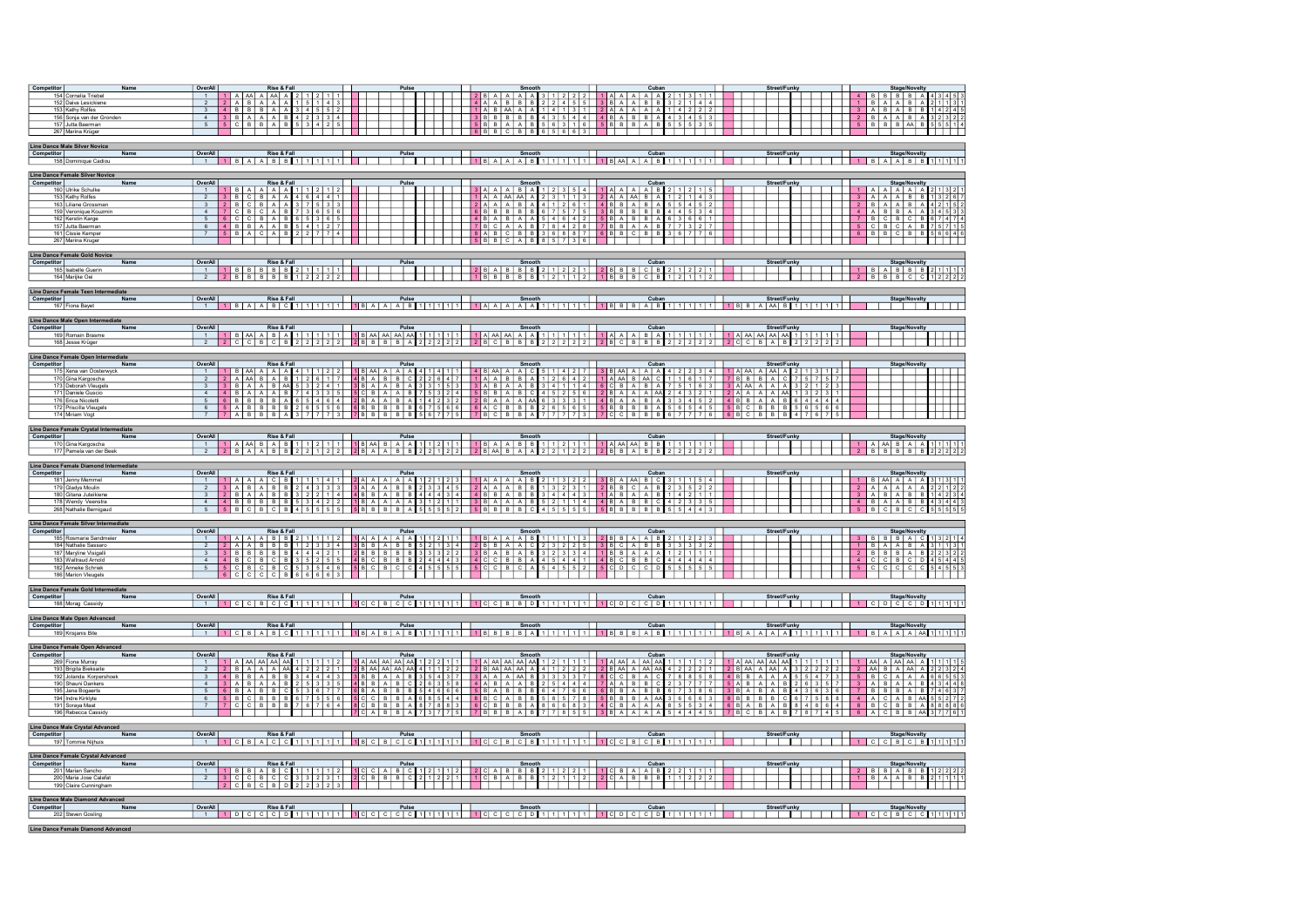| Competitor<br>154 Cornelia Triebel<br>152 Daiva Lesickiene<br>153 Kathy Rolfes<br>156 Sonja van der Gronden<br>157 Jutta Baerman<br>267 Marina Krüger                                                                                           | OverAll<br>1 A AA A AA A 2 1 2 1 1<br>$1$ 2 8 A A A A 3 1 2 2 2<br>$1$ A A A A A $2$ 1 3 1 1<br>$4$ $B$ $B$ $B$ $B$ $A$<br>2 A B A A A 1 5 1 4 3<br>4 B B B A A 3 4 5 5 2<br>$1$ $1$ $1$ $4$ A A B B B $2$ 2 4 5 5<br>1 B A A B A<br>$\overline{2}$<br>$\overline{3}$<br>$3$ A B A B B $1$ $4$ $2$ $4$<br>$3 B A A A B$<br>$4 \mid 2 \mid 3 \mid 3 \mid 4$<br>$2$ $B$ $A$ $A$ $B$ $A$<br>$3$ 2 3 2 2<br>4<br>5 6 3 1 6 5 8 8 8 A 8<br>$5$ C $B$ $A$ $B$<br><b>5 B B A A B</b><br>$5 \quad B \quad B \quad B \quad A \quad B \quad 5 \quad 5 \quad 1 \quad 4$<br>53425<br>55535<br>5<br>            6   B   B   C   B   B  <br>6 5 6 6 3                                                                                                                                                                                                                                                 |
|-------------------------------------------------------------------------------------------------------------------------------------------------------------------------------------------------------------------------------------------------|-----------------------------------------------------------------------------------------------------------------------------------------------------------------------------------------------------------------------------------------------------------------------------------------------------------------------------------------------------------------------------------------------------------------------------------------------------------------------------------------------------------------------------------------------------------------------------------------------------------------------------------------------------------------------------------------------------------------------------------------------------------------------------------------------------------------------------------------------------------------------------------------|
| <b>Line Dance Male Silver Novice</b><br><b>Competitor</b><br>Name<br>158 Dominique Cadiou                                                                                                                                                       | OverAll<br>Rise & Fall<br>Street/Funky<br>Stage/Novelty<br>$1$ $8$ $A$ $8$ $8$ $1$ $1$ $1$<br>$1$ $B$ $A$ $A$ $B$ $B$ $1$ $1$ $1$ $1$ $1$                                                                                                                                                                                                                                                                                                                                                                                                                                                                                                                                                                                                                                                                                                                                               |
| Line Dance Female Silver Novice<br>Competitor<br>Name<br>160 Ulrike Schulke<br>153 Kathy Rolfes<br>163 Liliane Grossman<br>159 Veronique Kouzmin<br>162 Kerstin Karge<br>157 Jutta Baerman<br>161 Cissie Kemper<br>267 Marina Kruger            | OverAll<br>Rise & Fall<br>Pulse<br>■ Smooth Cuban<br>  3   A   A   A   B   A   1   2   3   5   4   1   A   A   A   A   B   2   1   2   1   5  <br>Street/Funky<br><b>Stage/Novelty</b><br>$1$   1   B   A   A   A   A   1   1   2   1   2   1   1<br>1 A A A A A A<br>3 B C B A A 4 6 4 4 1<br>III 1 A A AA AA A<br>$2$ 3 1 1 3 2 A A A B A<br>12143<br>13267<br>$3$ $A$ $A$ $A$<br>$B$ $B$<br>2<br>2 B C B A A 3 7 5 3 3<br>7 C B C A B 7 3 6 5 6<br>3<br>4<br>5<br>$6$ C C B A B<br>6 5 3 6 5<br>$7$ B C B C B<br>6747<br>6 <sup>1</sup><br>4 B B A A B 5 4 1 2 7<br>5 B A C A B 2 2 7 7 4<br>5 C B C A B 7 5 7 1 5<br>6 B B C B B 5 6 6 4 6<br>$\overline{7}$                                                                                                                                                                                                                        |
| Line Dance Female Gold Novice<br>Competitor<br>Name<br>165 Isabelle Guerin<br>164 Marijke Oei                                                                                                                                                   | OverAll<br>Rise & Fall<br>$\overline{\phantom{a}}^{\text{Pulse}}$<br>Smooth<br>Cuban<br>Street/Funky<br>Stage/Novelty<br>1 B A B B B 2 1 1 1 1 1<br>2 B B B C C 1 2 2 2 2<br><b>EXISTER ISLAMS AND REPAIR LAB</b><br><b>EXISTENCE</b><br><b>2</b> B A B B B 2 1 2 2 1 2 B B C B 2 1 2 2 1<br><b>1</b> B B B B B B 1 2 1 1 2 2 1 B B B C B 1 2 1 1 2<br>1<br>2 B B B B B 1 2 2 2 2 2                                                                                                                                                                                                                                                                                                                                                                                                                                                                                                     |
| Line Dance Female Teen Intermediate<br>Competitor<br>Name<br>167 Fiona Bayet                                                                                                                                                                    | OverAll<br>Rise & Fall<br>Cuban<br>Pulse<br>Smooth<br>Street/Funky<br>Stage/Novelty                                                                                                                                                                                                                                                                                                                                                                                                                                                                                                                                                                                                                                                                                                                                                                                                     |
| Line Dance Male Open Intermediate<br>Competitor<br>Name<br>169 Romain Brasme<br>168 Jesse Krüger                                                                                                                                                | OverAll<br>Stage/Novelty<br>$\overline{1}$                                                                                                                                                                                                                                                                                                                                                                                                                                                                                                                                                                                                                                                                                                                                                                                                                                              |
| Line Dance Female Open Intermediate<br>Competitor<br>Name<br>175 Xena van Oosterwyck<br>170 Gina Kargoscha<br>173 Deborah Vleugels<br>171 Daniele Guscio<br>176 Erica Nicoletti<br>172 Priscilla Vieugels<br>174 Miriam Vogt                    | OverAll<br>Stage/Novelty<br>मन प<br>i i                                                                                                                                                                                                                                                                                                                                                                                                                                                                                                                                                                                                                                                                                                                                                                                                                                                 |
| Line Dance Female Crystal Intermediate<br>Competitor<br>Name<br>170 Gina Kargoscha<br>177 Pamela van der Beek                                                                                                                                   | OverAll<br>Rise & Fall<br>Cuban<br>Street/Funky<br>Stage/Novelty<br>  Rise& Fall   Pulse Pulse   Smooth   Cuban<br> 1   A   AA   B   A   B   1   1   1   1   8   AA   B   A   A   1   1   2   1   1   1   1   A   A   A   A   B   B   1   1   1   1   1   1   1  <br>$\begin{array}{c cccccc}\n1 & A & AA & B & A & A & 1 & 1 & 1 & 1 & 1 \\ 2 & B & B & B & B & B & 2 & 2 & 2 & 2\n\end{array}$<br>$\overline{1}$<br><u> Tanzania de la pro</u><br>2 B A A B B 2 2 1 2 2 2 B A A B B 2 2 1 2 2 2 B AA B A A<br>2 2 1 2 2 2 3 3 4 3 5 2 2 2 2 2 2 1                                                                                                                                                                                                                                                                                                                                     |
| Line Dance Female Diamond Intermediate<br>Competitor<br>Name<br>181 Jenny Memmel<br>179 Gladys Moulin<br>180 Gitana Juteikiene<br>178 Wendy Veenstra<br>268 Nathalie Bernigaud                                                                  | OverAll<br><b>Pico &amp; Fall</b><br>Street/Funky<br>Pulse Smooth<br>2 A A A A A A 1 2 1 2 3 1 A A A B 2 1 3 2 2<br>Cuban<br>Stage/Novelty<br>1   B   AA   A   A   A   3   1   3   1  <br>$1$ A A A C B $1$ 1 $1$ 4 1<br>3 B A A A B C 3 1 1 5 4<br>2 B B C A B 2 3 5 2 2<br>1 A B A A B 1 4 2 1 1<br>$-1$<br>$3$ $A$ $B$ $A$ $B$ $B$<br>$\overline{2}$<br>$2 \mid B \mid A \mid A \mid B \mid B$<br>3<br>4 B B B B B B<br>$4BABBC$<br>4 B A A B B 4 3 4 4<br>42335<br>4<br>5 B C B C B 4 5 5 5 5 5 5 5 6 8 8 8 8 8 5 5 5 5 5 2 5 8 8 8 8 8 6 4 5 5 5 5 5<br>5 B B B B B 5 5 4 4 3                                                                                                                                                                                                                                                                                                      |
| Line Dance Female Silver Intermediate<br><b>Competitor</b><br>Name<br>185 Rosmarie Sandmeier<br>184 Nathalie Sassaro<br>187 Maryline Visigalli<br>183 Waltraud Arnold<br>182 Anneke Schriek<br>186 Marion Vleugels                              | OverAll<br>Street/Funky<br><b>Stage/Novelty</b><br>3   B   B   B   A   C   1 3   2   1   4<br>$\overline{1}$<br>$1$ $B$ $A$ $A$<br>B <sub>A</sub><br>$\overline{2}$<br>2 B B B A B 2 2 3 2 2<br>3 <sup>1</sup><br>4<br>5 C C C C C 5 4 5 5 3<br>$5 -$                                                                                                                                                                                                                                                                                                                                                                                                                                                                                                                                                                                                                                   |
| Line Dance Female Gold Intermediate<br>Competitor<br>Name<br>188 Morag Cassidy                                                                                                                                                                  | OverAll<br>Rise & Fall<br>Pulse<br>Smooth<br>Cuban<br>Street/Funky<br>Stage/Novelty<br>1   C   D   C   C   D   1   1   1   1<br>$-1$<br>1 CCBCCC111111                                                                                                                                                                                                                                                                                                                                                                                                                                                                                                                                                                                                                                                                                                                                  |
| Line Dance Male Open Advanced<br>Competitor<br>Name<br>189 Krisjanis Bite                                                                                                                                                                       | OverAll<br>Rise & Fall<br>Pulse<br>Street/Funky<br>Cuban<br><b>Stage/Novelty</b><br>Smooth                                                                                                                                                                                                                                                                                                                                                                                                                                                                                                                                                                                                                                                                                                                                                                                              |
| Line Dance Female Open Advanced<br><b>Competitor</b><br>Name<br>269 Fiona Murray<br>193 Brigita Bieksaite<br>192 Jolanda Korpershoek<br>190 Shauni Dankers<br>195 Jana Bogaerts<br>194 Indre Kirklyte<br>191 Soraya Maat<br>196 Rebecca Cassidy | OverAll<br><b>Rise &amp; Fall</b><br>Pulse<br><b>Smooth</b><br>Stage/Novelty<br>$1  A  A A   A A   A A   1   2   2   1   1   1   A   A A   A A   A A   1   2   1   1   1  $<br>$1$   A   AA   AA   AA   $1$   $1$   $1$   $1$   $2$  <br>$-1$<br>2 B M A M A 4 2 2 2 1 2 B M A M A<br>8 C C B A C 7 8 8 5 8 4 B B A A A<br>$\overline{2}$<br>$\begin{array}{c cccc}\n3 & 2 & 2 & 2 & 2 \\ 5 & 5 & 4 & 7 & 3\n\end{array}$<br>$2$ AA B A AA A<br>$5$ $B$ $C$ $A$ $A$ $A$<br>3<br><b>7 A A B B C 2 3 7 7 7 5 A B A A B</b><br>6 B B A B B 6 7 3 8 6 3 B A B A B<br>26357<br>$3$ $A$ $B$ $A$ $A$ $B$<br>4<br>$4$ 3 6 3 6<br>$5 -$<br>$7$ BBBAB<br>7463<br><b>5 B B B A AA 3 6 6 6 3 8 B B B B C</b><br>4 C B A A A 8 5 5 3 4 6 B A B A B<br>67588<br>4 A C A B AA 5 5 2 7 3<br>6<br>84864 8 B C B B A 8 8 8 6 7 8 7 4 5 6 A C B B A 8 3 7 7 6<br>7<br>A A 5 4 4 4 5 7<br>3BA<br><b>BAB</b> |
| Line Dance Male Crystal Advanced<br>Competitor<br>Name<br>197 Tommie Nijhuis                                                                                                                                                                    | OverAll<br>Rise & Fall<br>Pulse<br>1 B C B C C 1 1 1 1 1 1<br>Smooth<br>Cuban<br>Street/Funky<br>Stage/Novelty<br>1   C   C   B   C   B   1   1   1   1<br>A C C 1111111<br>10C<br>$\overline{1}$                                                                                                                                                                                                                                                                                                                                                                                                                                                                                                                                                                                                                                                                                       |
| Line Dance Female Crystal Advanced<br><b>Competitor</b><br>Name<br>201 Marian Sancho<br>200 Maria Jose Calafat<br>199 Claire Cunningham                                                                                                         | OverAll<br>Street/Funky<br>Stage/Novelty<br>2 B B A B B 1 2 2 2 2<br>1 B A A B B 2 1 1 1 1<br>$-1$<br>$\overline{2}$<br>ICIBICIBIO                                                                                                                                                                                                                                                                                                                                                                                                                                                                                                                                                                                                                                                                                                                                                      |
| Line Dance Male Diamond Advanced<br><b>Competitor</b><br>Name<br>202 Steven Gosling<br>Line Dance Female Diamond Advanced                                                                                                                       | OverAll<br>Rise & Fall<br>Pulse<br>Cuban<br>Street/Funky<br>Smooth<br><b>Stage/Novelty</b><br>1 C C B C C 1 1 1 1 1                                                                                                                                                                                                                                                                                                                                                                                                                                                                                                                                                                                                                                                                                                                                                                     |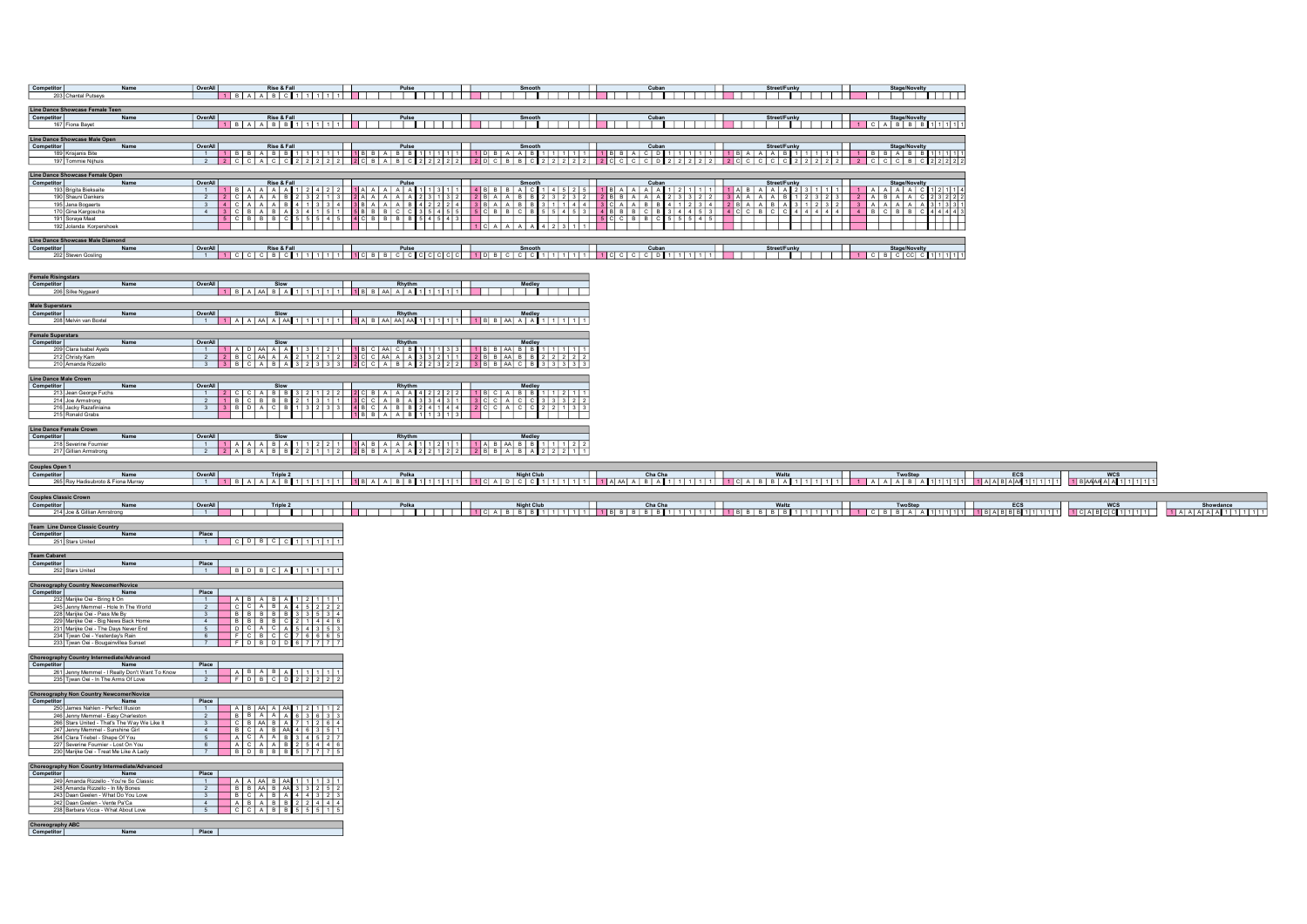| Competitor<br>Name<br>203 Chantal Putseys                                                                                                                                                                                                                                                                                                        | OverAll                                                                                                                                                                                                                                                                                                |
|--------------------------------------------------------------------------------------------------------------------------------------------------------------------------------------------------------------------------------------------------------------------------------------------------------------------------------------------------|--------------------------------------------------------------------------------------------------------------------------------------------------------------------------------------------------------------------------------------------------------------------------------------------------------|
| Line Dance Showcase Female Teen<br>Competitor<br>Name<br>167 Fiona Bayet                                                                                                                                                                                                                                                                         | OverAll<br><u>ui Riese Real (1980) – Prime Prince Smooth (1980) – Smooth (1980) – Cuban Microsoften Smooth (1980) – Smoothoo<br/>It BAAD BBIT (1981) – It District (1981) – It District (1981) – It District (1981) – It District (1981) – It </u>                                                     |
| Line Dance Showcase Male Open<br>Competitor<br>Name<br>189 Krisjanis Bite<br>197 Tommie Nijhuis                                                                                                                                                                                                                                                  |                                                                                                                                                                                                                                                                                                        |
| Line Dance Showcase Female Open<br>Competitor<br>Name<br>193 Brigita Bieksaite<br>190 Shauni Dankers<br>195 Jana Bogaerts<br>170 Gina Kargoscha<br>191 Soraya Maat<br>192 Jolanda Korpershoek                                                                                                                                                    |                                                                                                                                                                                                                                                                                                        |
| Line Dance Showcase Male Diamond<br>Competitor Name<br>202 Steven Gosling                                                                                                                                                                                                                                                                        |                                                                                                                                                                                                                                                                                                        |
| <b>Female Risingstars</b><br>Competitor<br>Name<br>206 Silke Nygaard                                                                                                                                                                                                                                                                             |                                                                                                                                                                                                                                                                                                        |
| Male Superstars<br>Competitor<br>Name<br>208 Melvin van Boxtel                                                                                                                                                                                                                                                                                   | OverAll                                                                                                                                                                                                                                                                                                |
| Competitor<br>Name<br>209 Clara Isabel Ayats<br>212 Christy Kam<br>210 Amanda Rizzello                                                                                                                                                                                                                                                           | OverAll                                                                                                                                                                                                                                                                                                |
| Line Dance Male Crown<br>Competitor<br>Name<br>213 Jean George Fuchs<br>214 Joe Armstrong<br>216 Jacky Razafiniaina                                                                                                                                                                                                                              |                                                                                                                                                                                                                                                                                                        |
| Line Dance Female Crown<br>Name<br>Competitor<br>218 Severine Fournier<br>217 Gillian Armstrong                                                                                                                                                                                                                                                  | OverAll                                                                                                                                                                                                                                                                                                |
|                                                                                                                                                                                                                                                                                                                                                  |                                                                                                                                                                                                                                                                                                        |
| Couples Open 1<br>Name<br>Competitor<br>265 Roy Hadisubroto & Fiona Murray                                                                                                                                                                                                                                                                       |                                                                                                                                                                                                                                                                                                        |
| <b>Couples Classic Crown</b><br>Competitor<br>214 Joe & Gillian Amrstrong<br>Name                                                                                                                                                                                                                                                                | OverAll                                                                                                                                                                                                                                                                                                |
| <b>Team Line Dance Classic Country</b><br>Competitor<br>251 Stars United<br>Name                                                                                                                                                                                                                                                                 |                                                                                                                                                                                                                                                                                                        |
| <b>Team Cabaret</b><br>Competitor<br>Name<br>252 Stars United                                                                                                                                                                                                                                                                                    | $ $ Place $ $<br>$1$ B D B C A 1 1 1 1 1 1                                                                                                                                                                                                                                                             |
| <b>Choreography Country Newcomer/Novice</b><br>Competitor<br>Name<br>232 Marijke Oei - Bring It On<br>245 Jenny Memmel - Hole In The World<br>228 Marijke Oei - Pass Me By<br>229 Marijke Oei - Big News Back Home<br>231 Marijke Oei - The Days Never End<br>234 Tjwan Oei - Yesterday's Rain<br>233 Tjwan Oei - Bougainvillea Sunset           | Place  <br>$A$ $B$ $A$ $B$ $A$ $1$ $2$ $1$ $1$<br>2 CCABA45222<br>3 BBBBBB33534<br>$4$ $\overline{8}$ $\overline{8}$ $\overline{8}$ $\overline{8}$ $\overline{8}$ $\overline{8}$ $\overline{6}$ $\overline{6}$<br>$2$ 1 4 4 6<br>5 D C A C A 5 4 3 5 3<br>6 F C B C C 7 6 6 6 5<br>F D B D D 6 7 7 7 7 |
| Choreography Country Intermediate/Advanced<br>Competitor<br>Name<br>261 Jenny Memmel - I Really Don't Want To Know<br>235 Tjwan Oei - In The Arms Of Love                                                                                                                                                                                        | Place<br>THE ABABA11111<br>2 FDBCD22222                                                                                                                                                                                                                                                                |
| <b>Choreography Non Country Newcomer/Novice</b><br>Name<br>250 James Nahlen - Perfect Illusion<br>246 Jenny Memmel - Easy Charleston<br>266 Stars United - That's The Way We Like It<br>247 Jenny Memmel - Sunshine Girl<br>Clara Triebel - Shape Of You<br>264<br>227 Severine Fournier - Lost On You<br>230 Marijke Oei - Treat Me Like A Lady | Place<br>$A B A A A A A A 1 2 1 1 1 2$<br>$-1$<br><b>2 B B A A A A 6</b> 3 6 3 3<br>3 <b>C B AA B A</b> 7 1 2 6 4<br>4 6 6 A 6 A 6 3 5 1<br>5 A 6 A 6 A 6 3 4 5 2 7<br>6 A 6 A 6 A 6 3 4 5 2 7<br>7 A 6 A 6 A 6 3 5 4 4 6                                                                              |
| Choreography Non Country Intermediate/Advanced<br>Competitor<br>etitor Name<br>249 Amanda Rizzello - You're So Classi<br>248 Amanda Rizzello - In My Bones<br>243 Daan Geelen - What Do You Love<br>242 Daan Geelen - Vente Pa'Ca<br>238 Barbara Vicca - What About Love<br>Choreography ABC<br>Competitor                                       | Place<br>Place<br>1 A A A A B A A 1 1 1 3 1<br>2 B B A B A 3 3 2 5 2<br>3 B C A B A 4 4 3 2 4 4 4<br>4 A B A B B 2 2 4 4 4<br>5 C C A B B 5 5 5 1 5                                                                                                                                                    |